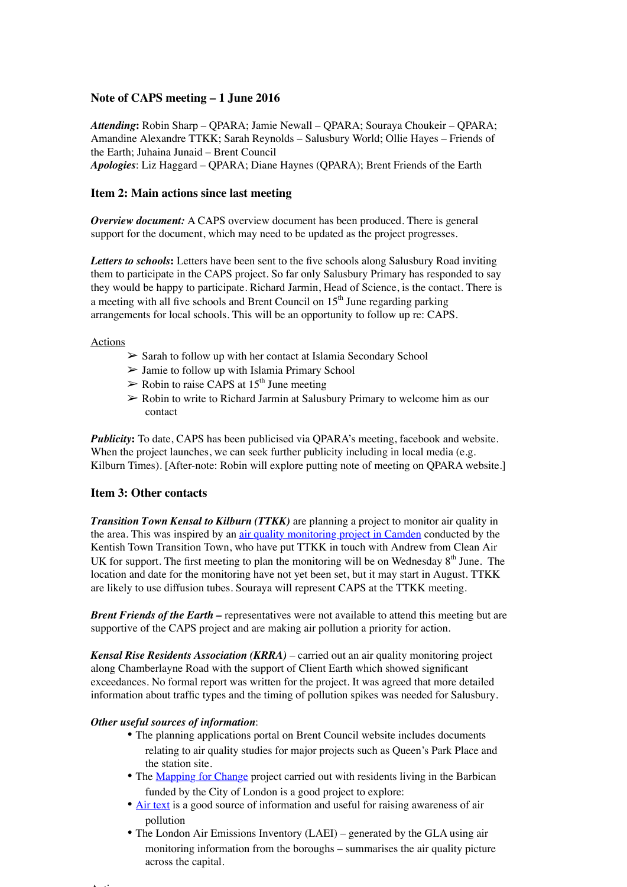### **Note of CAPS meeting – 1 June 2016**

*Attending***:** Robin Sharp – QPARA; Jamie Newall – QPARA; Souraya Choukeir – QPARA; Amandine Alexandre TTKK; Sarah Reynolds – Salusbury World; Ollie Hayes – Friends of the Earth; Juhaina Junaid – Brent Council *Apologies*: Liz Haggard – QPARA; Diane Haynes (QPARA); Brent Friends of the Earth

### **Item 2: Main actions since last meeting**

*Overview document:* A CAPS overview document has been produced. There is general support for the document, which may need to be updated as the project progresses.

Letters to schools: Letters have been sent to the five schools along Salusbury Road inviting them to participate in the CAPS project. So far only Salusbury Primary has responded to say they would be happy to participate. Richard Jarmin, Head of Science, is the contact. There is a meeting with all five schools and Brent Council on  $15<sup>th</sup>$  June regarding parking arrangements for local schools. This will be an opportunity to follow up re: CAPS.

#### Actions

- ➢ Sarah to follow up with her contact at Islamia Secondary School
- $\triangleright$  Jamie to follow up with Islamia Primary School
- $\triangleright$  Robin to raise CAPS at 15<sup>th</sup> June meeting
- $\geq$  Robin to write to Richard Jarmin at Salusbury Primary to welcome him as our contact

*Publicity***:** To date, CAPS has been publicised via QPARA's meeting, facebook and website. When the project launches, we can seek further publicity including in local media (e.g. Kilburn Times). [After-note: Robin will explore putting note of meeting on QPARA website.]

# **Item 3: Other contacts**

*Transition Town Kensal to Kilburn (TTKK)* are planning a project to monitor air quality in the area. This was inspired by an air quality monitoring project in Camden conducted by the Kentish Town Transition Town, who have put TTKK in touch with Andrew from Clean Air UK for support. The first meeting to plan the monitoring will be on Wednesday  $8<sup>th</sup>$  June. The location and date for the monitoring have not yet been set, but it may start in August. TTKK are likely to use diffusion tubes. Souraya will represent CAPS at the TTKK meeting.

*Brent Friends of the Earth –* representatives were not available to attend this meeting but are supportive of the CAPS project and are making air pollution a priority for action.

*Kensal Rise Residents Association (KRRA)* – carried out an air quality monitoring project along Chamberlayne Road with the support of Client Earth which showed significant exceedances. No formal report was written for the project. It was agreed that more detailed information about traffic types and the timing of pollution spikes was needed for Salusbury.

#### *Other useful sources of information*:

- The planning applications portal on Brent Council website includes documents relating to air quality studies for major projects such as Queen's Park Place and the station site.
- The Mapping for Change project carried out with residents living in the Barbican funded by the City of London is a good project to explore:
- Air text is a good source of information and useful for raising awareness of air pollution
- The London Air Emissions Inventory (LAEI) generated by the GLA using air monitoring information from the boroughs – summarises the air quality picture across the capital.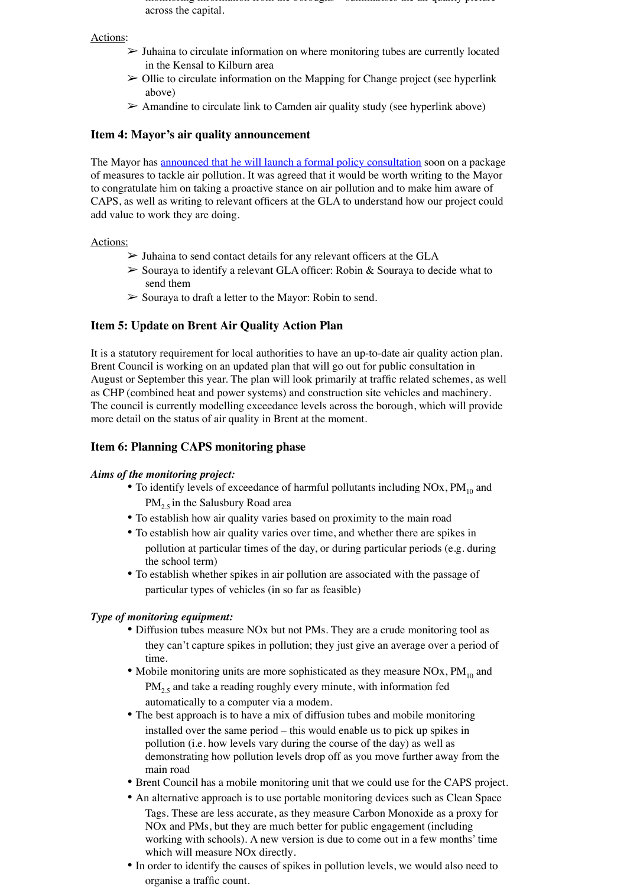monitoring information from the boroughs – summarises the air quality picture across the capital.

#### Actions:

- ➢ Juhaina to circulate information on where monitoring tubes are currently located in the Kensal to Kilburn area
- $\triangleright$  Ollie to circulate information on the Mapping for Change project (see hyperlink above)
- $\triangleright$  Amandine to circulate link to Camden air quality study (see hyperlink above)

### **Item 4: Mayor's air quality announcement**

The Mayor has announced that he will launch a formal policy consultation soon on a package of measures to tackle air pollution. It was agreed that it would be worth writing to the Mayor to congratulate him on taking a proactive stance on air pollution and to make him aware of CAPS, as well as writing to relevant officers at the GLA to understand how our project could add value to work they are doing.

#### Actions:

- $\triangleright$  Juhaina to send contact details for any relevant officers at the GLA
- ➢ Souraya to identify a relevant GLA officer: Robin & Souraya to decide what to send them
- ➢ Souraya to draft a letter to the Mayor: Robin to send.

# **Item 5: Update on Brent Air Quality Action Plan**

It is a statutory requirement for local authorities to have an up-to-date air quality action plan. Brent Council is working on an updated plan that will go out for public consultation in August or September this year. The plan will look primarily at traffic related schemes, as well as CHP (combined heat and power systems) and construction site vehicles and machinery. The council is currently modelling exceedance levels across the borough, which will provide more detail on the status of air quality in Brent at the moment.

## **Item 6: Planning CAPS monitoring phase**

#### *Aims of the monitoring project:*

- To identify levels of exceedance of harmful pollutants including  $NOX, PM_{10}$  and  $PM<sub>2.5</sub>$  in the Salusbury Road area
- To establish how air quality varies based on proximity to the main road
- To establish how air quality varies over time, and whether there are spikes in pollution at particular times of the day, or during particular periods (e.g. during the school term)
- To establish whether spikes in air pollution are associated with the passage of particular types of vehicles (in so far as feasible)

#### *Type of monitoring equipment:*

- Diffusion tubes measure NOx but not PMs. They are a crude monitoring tool as they can't capture spikes in pollution; they just give an average over a period of time.
- Mobile monitoring units are more sophisticated as they measure  $NOX, PM_{10}$  and  $PM<sub>2.5</sub>$  and take a reading roughly every minute, with information fed automatically to a computer via a modem.
- The best approach is to have a mix of diffusion tubes and mobile monitoring installed over the same period – this would enable us to pick up spikes in pollution (i.e. how levels vary during the course of the day) as well as demonstrating how pollution levels drop off as you move further away from the main road
- Brent Council has a mobile monitoring unit that we could use for the CAPS project.
- An alternative approach is to use portable monitoring devices such as Clean Space Tags. These are less accurate, as they measure Carbon Monoxide as a proxy for NOx and PMs, but they are much better for public engagement (including working with schools). A new version is due to come out in a few months' time which will measure NOx directly.
- In order to identify the causes of spikes in pollution levels, we would also need to organise a traffic count.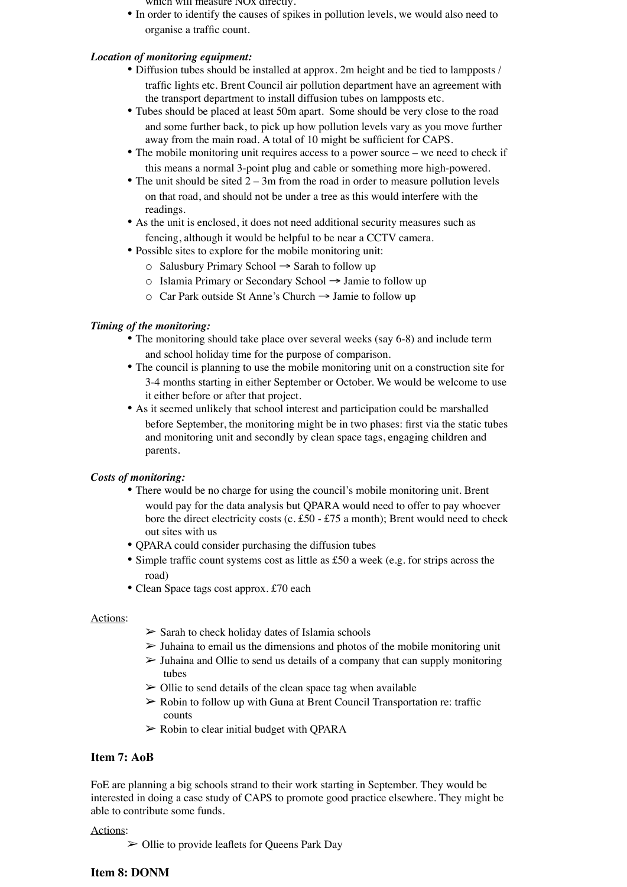- which will measure NOx directly.
- In order to identify the causes of spikes in pollution levels, we would also need to organise a traffic count.

## *Location of monitoring equipment:*

- Diffusion tubes should be installed at approx. 2m height and be tied to lampposts / traffic lights etc. Brent Council air pollution department have an agreement with the transport department to install diffusion tubes on lampposts etc.
- Tubes should be placed at least 50m apart. Some should be very close to the road and some further back, to pick up how pollution levels vary as you move further away from the main road. A total of 10 might be sufficient for CAPS.
- The mobile monitoring unit requires access to a power source we need to check if this means a normal 3-point plug and cable or something more high-powered.
- The unit should be sited  $2 3m$  from the road in order to measure pollution levels on that road, and should not be under a tree as this would interfere with the readings.
- As the unit is enclosed, it does not need additional security measures such as fencing, although it would be helpful to be near a CCTV camera.
- Possible sites to explore for the mobile monitoring unit:
	- o Salusbury Primary School → Sarah to follow up
	- o Islamia Primary or Secondary School → Jamie to follow up
	- o Car Park outside St Anne's Church → Jamie to follow up

### *Timing of the monitoring:*

- The monitoring should take place over several weeks (say 6-8) and include term and school holiday time for the purpose of comparison.
- The council is planning to use the mobile monitoring unit on a construction site for 3-4 months starting in either September or October. We would be welcome to use it either before or after that project.
- As it seemed unlikely that school interest and participation could be marshalled before September, the monitoring might be in two phases: first via the static tubes and monitoring unit and secondly by clean space tags, engaging children and parents.

#### *Costs of monitoring:*

- There would be no charge for using the council's mobile monitoring unit. Brent would pay for the data analysis but QPARA would need to offer to pay whoever bore the direct electricity costs (c. £50 - £75 a month); Brent would need to check out sites with us
- QPARA could consider purchasing the diffusion tubes
- Simple traffic count systems cost as little as £50 a week (e.g. for strips across the road)
- Clean Space tags cost approx. £70 each

#### Actions:

- $\triangleright$  Sarah to check holiday dates of Islamia schools
- $\triangleright$  Juhaina to email us the dimensions and photos of the mobile monitoring unit
- $\triangleright$  Juhaina and Ollie to send us details of a company that can supply monitoring tubes
- $\geq$  Ollie to send details of the clean space tag when available
- $\triangleright$  Robin to follow up with Guna at Brent Council Transportation re: traffic counts
- $\triangleright$  Robin to clear initial budget with QPARA

# **Item 7: AoB**

FoE are planning a big schools strand to their work starting in September. They would be interested in doing a case study of CAPS to promote good practice elsewhere. They might be able to contribute some funds.

Actions:

 $\triangleright$  Ollie to provide leaflets for Queens Park Day

# **Item 8: DONM**